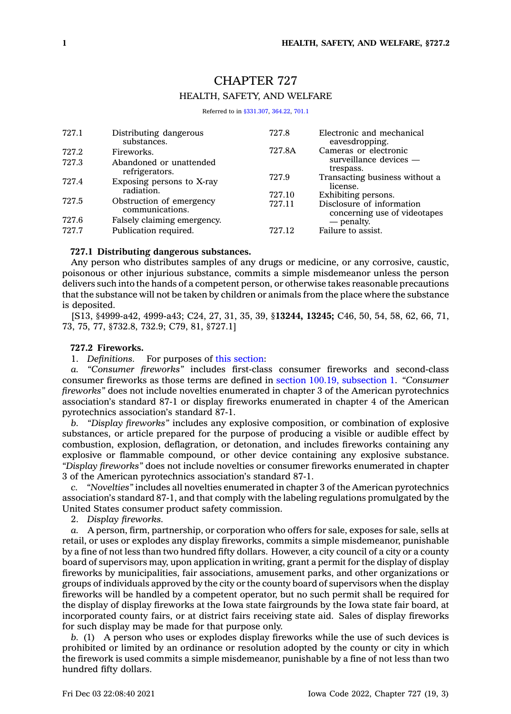# CHAPTER 727 HEALTH, SAFETY, AND WELFARE

Referred to in [§331.307](https://www.legis.iowa.gov/docs/code/331.307.pdf), [364.22](https://www.legis.iowa.gov/docs/code/364.22.pdf), [701.1](https://www.legis.iowa.gov/docs/code/701.1.pdf)

| 727.1 | Distributing dangerous<br>substances.       | 727.8  | Electronic and mechanical<br>eavesdropping.               |
|-------|---------------------------------------------|--------|-----------------------------------------------------------|
| 727.2 | Fireworks.                                  | 727.8A | Cameras or electronic<br>surveillance devices —           |
| 727.3 | Abandoned or unattended<br>refrigerators.   |        | trespass.                                                 |
| 727.4 | Exposing persons to X-ray<br>radiation.     | 727.9  | Transacting business without a<br>license.                |
|       |                                             | 727.10 | Exhibiting persons.                                       |
| 727.5 | Obstruction of emergency<br>communications. | 727.11 | Disclosure of information<br>concerning use of videotapes |
| 727.6 | Falsely claiming emergency.                 |        | — penalty.                                                |
| 727.7 | Publication required.                       | 727.12 | Failure to assist.                                        |

### **727.1 Distributing dangerous substances.**

Any person who distributes samples of any drugs or medicine, or any corrosive, caustic, poisonous or other injurious substance, commits <sup>a</sup> simple misdemeanor unless the person delivers such into the hands of <sup>a</sup> competent person, or otherwise takes reasonable precautions that the substance will not be taken by children or animals from the place where the substance is deposited.

[S13, §4999-a42, 4999-a43; C24, 27, 31, 35, 39, §**13244, 13245;** C46, 50, 54, 58, 62, 66, 71, 73, 75, 77, §732.8, 732.9; C79, 81, §727.1]

# **727.2 Fireworks.**

1. *Definitions.* For purposes of this [section](https://www.legis.iowa.gov/docs/code/727.2.pdf):

*a. "Consumer fireworks"* includes first-class consumer fireworks and second-class consumer fireworks as those terms are defined in section 100.19, [subsection](https://www.legis.iowa.gov/docs/code/100.19.pdf) 1. *"Consumer fireworks"* does not include novelties enumerated in chapter 3 of the American pyrotechnics association's standard 87-1 or display fireworks enumerated in chapter 4 of the American pyrotechnics association's standard 87-1.

*b. "Display fireworks"* includes any explosive composition, or combination of explosive substances, or article prepared for the purpose of producing <sup>a</sup> visible or audible effect by combustion, explosion, deflagration, or detonation, and includes fireworks containing any explosive or flammable compound, or other device containing any explosive substance. *"Display fireworks"* does not include novelties or consumer fireworks enumerated in chapter 3 of the American pyrotechnics association's standard 87-1.

*c. "Novelties"* includes all novelties enumerated in chapter 3 of the American pyrotechnics association's standard 87-1, and that comply with the labeling regulations promulgated by the United States consumer product safety commission.

2. *Display fireworks.*

*a.* A person, firm, partnership, or corporation who offers for sale, exposes for sale, sells at retail, or uses or explodes any display fireworks, commits <sup>a</sup> simple misdemeanor, punishable by <sup>a</sup> fine of not less than two hundred fifty dollars. However, <sup>a</sup> city council of <sup>a</sup> city or <sup>a</sup> county board of supervisors may, upon application in writing, grant <sup>a</sup> permit for the display of display fireworks by municipalities, fair associations, amusement parks, and other organizations or groups of individuals approved by the city or the county board of supervisors when the display fireworks will be handled by <sup>a</sup> competent operator, but no such permit shall be required for the display of display fireworks at the Iowa state fairgrounds by the Iowa state fair board, at incorporated county fairs, or at district fairs receiving state aid. Sales of display fireworks for such display may be made for that purpose only.

*b.* (1) A person who uses or explodes display fireworks while the use of such devices is prohibited or limited by an ordinance or resolution adopted by the county or city in which the firework is used commits <sup>a</sup> simple misdemeanor, punishable by <sup>a</sup> fine of not less than two hundred fifty dollars.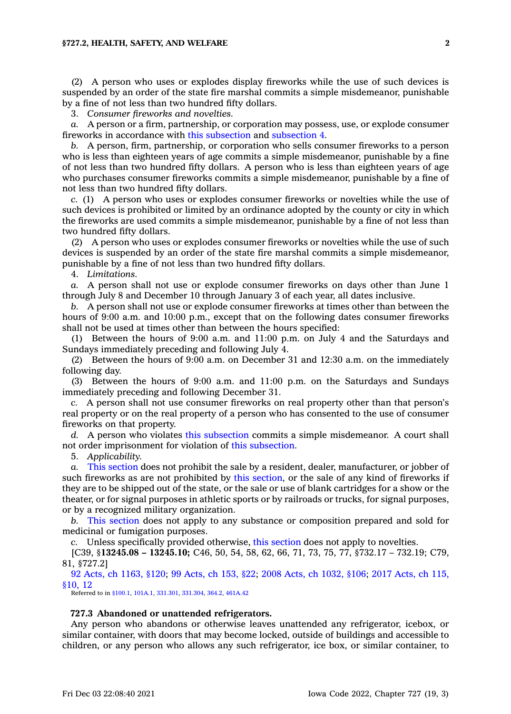### **§727.2, HEALTH, SAFETY, AND WELFARE 2**

(2) A person who uses or explodes display fireworks while the use of such devices is suspended by an order of the state fire marshal commits <sup>a</sup> simple misdemeanor, punishable by <sup>a</sup> fine of not less than two hundred fifty dollars.

3. *Consumer fireworks and novelties.*

*a.* A person or <sup>a</sup> firm, partnership, or corporation may possess, use, or explode consumer fireworks in accordance with this [subsection](https://www.legis.iowa.gov/docs/code/727.2.pdf) and [subsection](https://www.legis.iowa.gov/docs/code/727.2.pdf) 4.

*b.* A person, firm, partnership, or corporation who sells consumer fireworks to <sup>a</sup> person who is less than eighteen years of age commits <sup>a</sup> simple misdemeanor, punishable by <sup>a</sup> fine of not less than two hundred fifty dollars. A person who is less than eighteen years of age who purchases consumer fireworks commits <sup>a</sup> simple misdemeanor, punishable by <sup>a</sup> fine of not less than two hundred fifty dollars.

*c.* (1) A person who uses or explodes consumer fireworks or novelties while the use of such devices is prohibited or limited by an ordinance adopted by the county or city in which the fireworks are used commits <sup>a</sup> simple misdemeanor, punishable by <sup>a</sup> fine of not less than two hundred fifty dollars.

(2) A person who uses or explodes consumer fireworks or novelties while the use of such devices is suspended by an order of the state fire marshal commits <sup>a</sup> simple misdemeanor, punishable by <sup>a</sup> fine of not less than two hundred fifty dollars.

4. *Limitations.*

*a.* A person shall not use or explode consumer fireworks on days other than June 1 through July 8 and December 10 through January 3 of each year, all dates inclusive.

*b.* A person shall not use or explode consumer fireworks at times other than between the hours of 9:00 a.m. and 10:00 p.m., except that on the following dates consumer fireworks shall not be used at times other than between the hours specified:

(1) Between the hours of 9:00 a.m. and 11:00 p.m. on July 4 and the Saturdays and Sundays immediately preceding and following July 4.

(2) Between the hours of 9:00 a.m. on December 31 and 12:30 a.m. on the immediately following day.

(3) Between the hours of 9:00 a.m. and 11:00 p.m. on the Saturdays and Sundays immediately preceding and following December 31.

*c.* A person shall not use consumer fireworks on real property other than that person's real property or on the real property of <sup>a</sup> person who has consented to the use of consumer fireworks on that property.

*d.* A person who violates this [subsection](https://www.legis.iowa.gov/docs/code/727.2.pdf) commits <sup>a</sup> simple misdemeanor. A court shall not order imprisonment for violation of this [subsection](https://www.legis.iowa.gov/docs/code/727.2.pdf).

5. *Applicability.*

*a.* This [section](https://www.legis.iowa.gov/docs/code/727.2.pdf) does not prohibit the sale by <sup>a</sup> resident, dealer, manufacturer, or jobber of such fireworks as are not prohibited by this [section](https://www.legis.iowa.gov/docs/code/727.2.pdf), or the sale of any kind of fireworks if they are to be shipped out of the state, or the sale or use of blank cartridges for <sup>a</sup> show or the theater, or for signal purposes in athletic sports or by railroads or trucks, for signal purposes, or by <sup>a</sup> recognized military organization.

*b.* This [section](https://www.legis.iowa.gov/docs/code/727.2.pdf) does not apply to any substance or composition prepared and sold for medicinal or fumigation purposes.

*c.* Unless specifically provided otherwise, this [section](https://www.legis.iowa.gov/docs/code/727.2.pdf) does not apply to novelties.

[C39, §**13245.08 – 13245.10;** C46, 50, 54, 58, 62, 66, 71, 73, 75, 77, §732.17 – 732.19; C79, 81, §727.2]

92 Acts, ch [1163,](https://www.legis.iowa.gov/docs/acts/1992/CH1163.pdf) §120; 99 [Acts,](https://www.legis.iowa.gov/docs/acts/99/CH0153.pdf) ch 153, §22; 2008 Acts, ch [1032,](https://www.legis.iowa.gov/docs/acts/2008/CH1032.pdf) §106; 2017 [Acts,](https://www.legis.iowa.gov/docs/acts/2017/CH0115.pdf) ch 115, [§10,](https://www.legis.iowa.gov/docs/acts/2017/CH0115.pdf) 12

Referred to in [§100.1](https://www.legis.iowa.gov/docs/code/100.1.pdf), [101A.1,](https://www.legis.iowa.gov/docs/code/101A.1.pdf) [331.301](https://www.legis.iowa.gov/docs/code/331.301.pdf), [331.304](https://www.legis.iowa.gov/docs/code/331.304.pdf), [364.2](https://www.legis.iowa.gov/docs/code/364.2.pdf), [461A.42](https://www.legis.iowa.gov/docs/code/461A.42.pdf)

# **727.3 Abandoned or unattended refrigerators.**

Any person who abandons or otherwise leaves unattended any refrigerator, icebox, or similar container, with doors that may become locked, outside of buildings and accessible to children, or any person who allows any such refrigerator, ice box, or similar container, to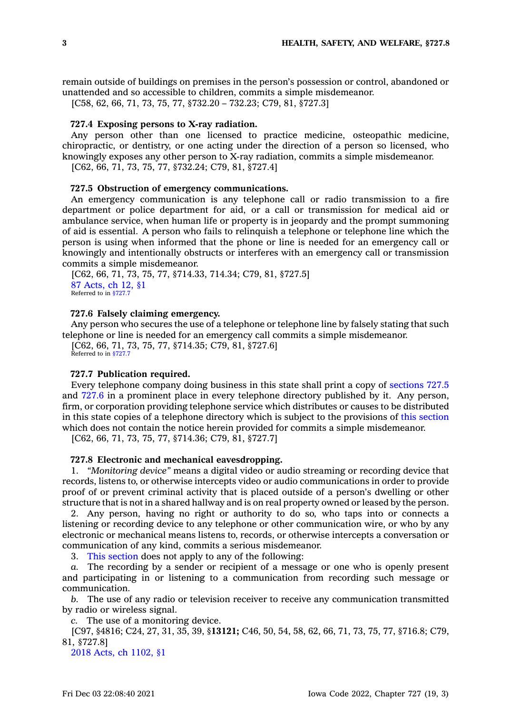remain outside of buildings on premises in the person's possession or control, abandoned or unattended and so accessible to children, commits <sup>a</sup> simple misdemeanor.

[C58, 62, 66, 71, 73, 75, 77, §732.20 – 732.23; C79, 81, §727.3]

## **727.4 Exposing persons to X-ray radiation.**

Any person other than one licensed to practice medicine, osteopathic medicine, chiropractic, or dentistry, or one acting under the direction of <sup>a</sup> person so licensed, who knowingly exposes any other person to X-ray radiation, commits <sup>a</sup> simple misdemeanor.

[C62, 66, 71, 73, 75, 77, §732.24; C79, 81, §727.4]

#### **727.5 Obstruction of emergency communications.**

An emergency communication is any telephone call or radio transmission to <sup>a</sup> fire department or police department for aid, or <sup>a</sup> call or transmission for medical aid or ambulance service, when human life or property is in jeopardy and the prompt summoning of aid is essential. A person who fails to relinquish <sup>a</sup> telephone or telephone line which the person is using when informed that the phone or line is needed for an emergency call or knowingly and intentionally obstructs or interferes with an emergency call or transmission commits <sup>a</sup> simple misdemeanor.

[C62, 66, 71, 73, 75, 77, §714.33, 714.34; C79, 81, §727.5] 87 [Acts,](https://www.legis.iowa.gov/docs/acts/1987/CH0012.pdf) ch 12, §1 Referred to in  $$727$ .

#### **727.6 Falsely claiming emergency.**

Any person who secures the use of <sup>a</sup> telephone or telephone line by falsely stating that such telephone or line is needed for an emergency call commits <sup>a</sup> simple misdemeanor.

[C62, 66, 71, 73, 75, 77, §714.35; C79, 81, §727.6] Referred to in [§727.7](https://www.legis.iowa.gov/docs/code/727.7.pdf)

## **727.7 Publication required.**

Every telephone company doing business in this state shall print <sup>a</sup> copy of [sections](https://www.legis.iowa.gov/docs/code/727.5.pdf) 727.5 and [727.6](https://www.legis.iowa.gov/docs/code/727.6.pdf) in <sup>a</sup> prominent place in every telephone directory published by it. Any person, firm, or corporation providing telephone service which distributes or causes to be distributed in this state copies of <sup>a</sup> telephone directory which is subject to the provisions of this [section](https://www.legis.iowa.gov/docs/code/727.7.pdf) which does not contain the notice herein provided for commits <sup>a</sup> simple misdemeanor.

[C62, 66, 71, 73, 75, 77, §714.36; C79, 81, §727.7]

# **727.8 Electronic and mechanical eavesdropping.**

1. *"Monitoring device"* means <sup>a</sup> digital video or audio streaming or recording device that records, listens to, or otherwise intercepts video or audio communications in order to provide proof of or prevent criminal activity that is placed outside of <sup>a</sup> person's dwelling or other structure that is not in <sup>a</sup> shared hallway and is on real property owned or leased by the person.

2. Any person, having no right or authority to do so, who taps into or connects <sup>a</sup> listening or recording device to any telephone or other communication wire, or who by any electronic or mechanical means listens to, records, or otherwise intercepts <sup>a</sup> conversation or communication of any kind, commits <sup>a</sup> serious misdemeanor.

3. This [section](https://www.legis.iowa.gov/docs/code/727.8.pdf) does not apply to any of the following:

*a.* The recording by <sup>a</sup> sender or recipient of <sup>a</sup> message or one who is openly present and participating in or listening to <sup>a</sup> communication from recording such message or communication.

*b.* The use of any radio or television receiver to receive any communication transmitted by radio or wireless signal.

*c.* The use of <sup>a</sup> monitoring device.

[C97, §4816; C24, 27, 31, 35, 39, §**13121;** C46, 50, 54, 58, 62, 66, 71, 73, 75, 77, §716.8; C79, 81, §727.8]

2018 Acts, ch [1102,](https://www.legis.iowa.gov/docs/acts/2018/CH1102.pdf) §1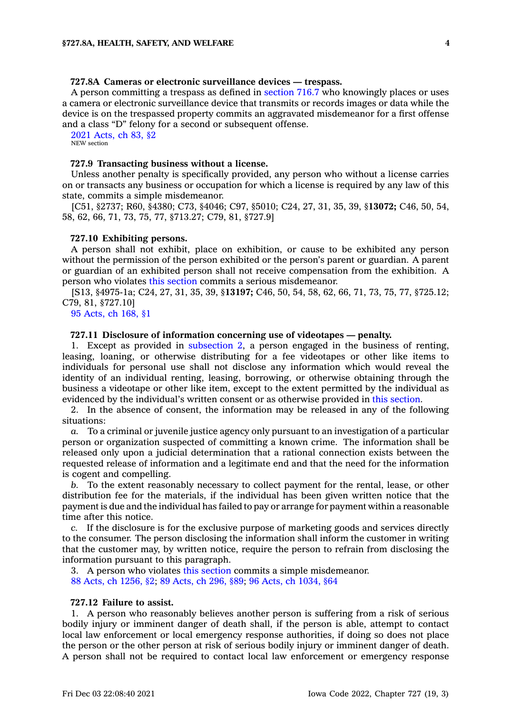### **727.8A Cameras or electronic surveillance devices — trespass.**

A person committing <sup>a</sup> trespass as defined in [section](https://www.legis.iowa.gov/docs/code/716.7.pdf) 716.7 who knowingly places or uses <sup>a</sup> camera or electronic surveillance device that transmits or records images or data while the device is on the trespassed property commits an aggravated misdemeanor for <sup>a</sup> first offense and <sup>a</sup> class "D" felony for <sup>a</sup> second or subsequent offense.

2021 [Acts,](https://www.legis.iowa.gov/docs/acts/2021/CH0083.pdf) ch 83, §2 NEW section

### **727.9 Transacting business without <sup>a</sup> license.**

Unless another penalty is specifically provided, any person who without <sup>a</sup> license carries on or transacts any business or occupation for which <sup>a</sup> license is required by any law of this state, commits <sup>a</sup> simple misdemeanor.

[C51, §2737; R60, §4380; C73, §4046; C97, §5010; C24, 27, 31, 35, 39, §**13072;** C46, 50, 54, 58, 62, 66, 71, 73, 75, 77, §713.27; C79, 81, §727.9]

#### **727.10 Exhibiting persons.**

A person shall not exhibit, place on exhibition, or cause to be exhibited any person without the permission of the person exhibited or the person's parent or guardian. A parent or guardian of an exhibited person shall not receive compensation from the exhibition. A person who violates this [section](https://www.legis.iowa.gov/docs/code/727.10.pdf) commits <sup>a</sup> serious misdemeanor.

[S13, §4975-1a; C24, 27, 31, 35, 39, §**13197;** C46, 50, 54, 58, 62, 66, 71, 73, 75, 77, §725.12; C79, 81, §727.10]

95 [Acts,](https://www.legis.iowa.gov/docs/acts/1995/CH0168.pdf) ch 168, §1

# **727.11 Disclosure of information concerning use of videotapes — penalty.**

1. Except as provided in [subsection](https://www.legis.iowa.gov/docs/code/727.11.pdf) 2, <sup>a</sup> person engaged in the business of renting, leasing, loaning, or otherwise distributing for <sup>a</sup> fee videotapes or other like items to individuals for personal use shall not disclose any information which would reveal the identity of an individual renting, leasing, borrowing, or otherwise obtaining through the business <sup>a</sup> videotape or other like item, except to the extent permitted by the individual as evidenced by the individual's written consent or as otherwise provided in this [section](https://www.legis.iowa.gov/docs/code/727.11.pdf).

2. In the absence of consent, the information may be released in any of the following situations:

*a.* To <sup>a</sup> criminal or juvenile justice agency only pursuant to an investigation of <sup>a</sup> particular person or organization suspected of committing <sup>a</sup> known crime. The information shall be released only upon <sup>a</sup> judicial determination that <sup>a</sup> rational connection exists between the requested release of information and <sup>a</sup> legitimate end and that the need for the information is cogent and compelling.

*b.* To the extent reasonably necessary to collect payment for the rental, lease, or other distribution fee for the materials, if the individual has been given written notice that the payment is due and the individual has failed to pay or arrange for payment within <sup>a</sup> reasonable time after this notice.

*c.* If the disclosure is for the exclusive purpose of marketing goods and services directly to the consumer. The person disclosing the information shall inform the customer in writing that the customer may, by written notice, require the person to refrain from disclosing the information pursuant to this paragraph.

3. A person who violates this [section](https://www.legis.iowa.gov/docs/code/727.11.pdf) commits <sup>a</sup> simple misdemeanor. 88 Acts, ch [1256,](https://www.legis.iowa.gov/docs/acts/1988/CH1256.pdf) §2; 89 [Acts,](https://www.legis.iowa.gov/docs/acts/1989/CH0296.pdf) ch 296, §89; 96 Acts, ch [1034,](https://www.legis.iowa.gov/docs/acts/1996/CH1034.pdf) §64

### **727.12 Failure to assist.**

1. A person who reasonably believes another person is suffering from <sup>a</sup> risk of serious bodily injury or imminent danger of death shall, if the person is able, attempt to contact local law enforcement or local emergency response authorities, if doing so does not place the person or the other person at risk of serious bodily injury or imminent danger of death. A person shall not be required to contact local law enforcement or emergency response